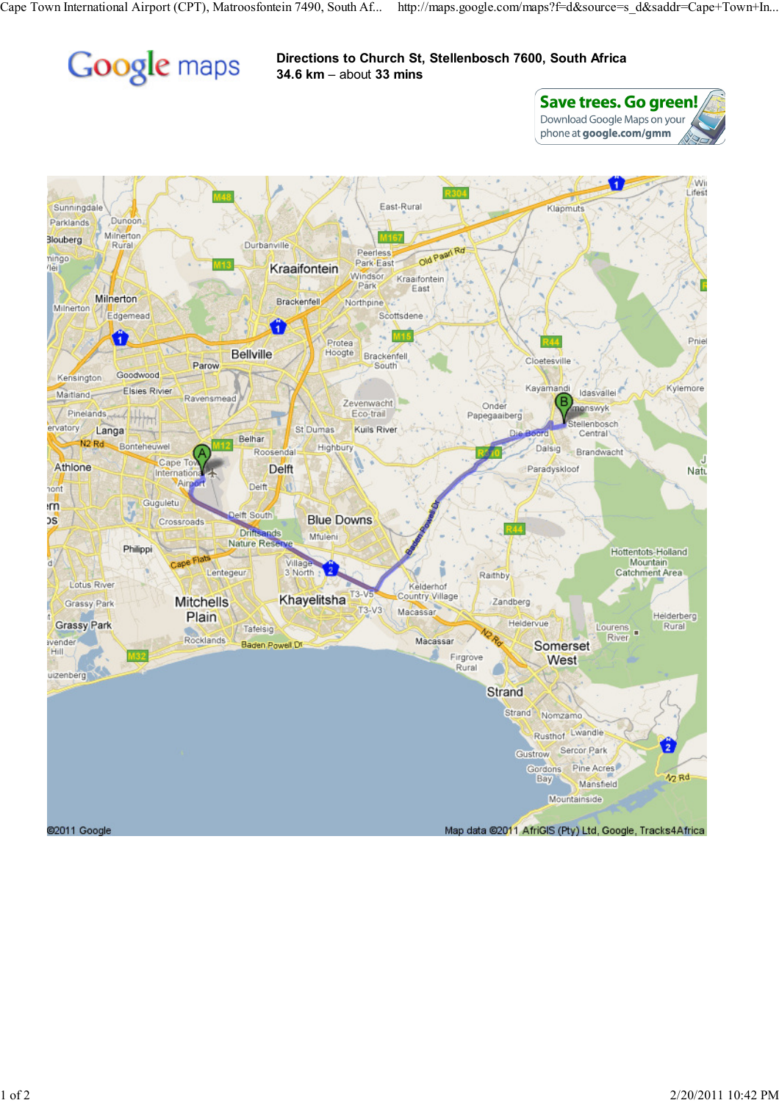